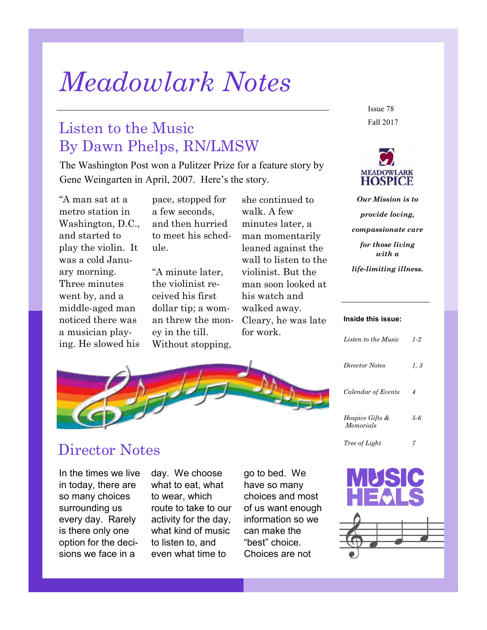# *Meadowlark Notes*

### Listen to the Music By Dawn Phelps, RN/LMSW

The Washington Post won a Pulitzer Prize for a feature story by Gene Weingarten in April, 2007. Here's the story.

"A man sat at a metro station in Washington, D.C., and started to play the violin. It was a cold January morning. Three minutes went by, and a middle-aged man noticed there was a musician playing. He slowed his

pace, stopped for a few seconds, and then hurried to meet his schedule.

"A minute later, the violinist received his first dollar tip; a woman threw the money in the till. Without stopping,

she continued to walk. A few minutes later, a man momentarily leaned against the wall to listen to the violinist. But the man soon looked at his watch and walked away. Cleary, he was late for work.

Fall 2017 Issue 78



*Our Mission is to provide loving, compassionate care for those living with a life-limiting illness.*

#### **Inside this issue:**

| Listen to the Music                     | 1-2  |
|-----------------------------------------|------|
| Director Notes                          | 1, 3 |
| Calendar of Events                      | 4    |
| <i>Hospice Gifts &amp;</i><br>Memorials | 5-6  |
| <i>Tree of Light</i>                    |      |

### Director Notes

In the times we live in today, there are so many choices surrounding us every day. Rarely is there only one option for the decisions we face in a

day. We choose what to eat, what to wear, which route to take to our activity for the day, what kind of music to listen to, and even what time to

go to bed. We have so many choices and most of us want enough information so we can make the "best" choice. Choices are not

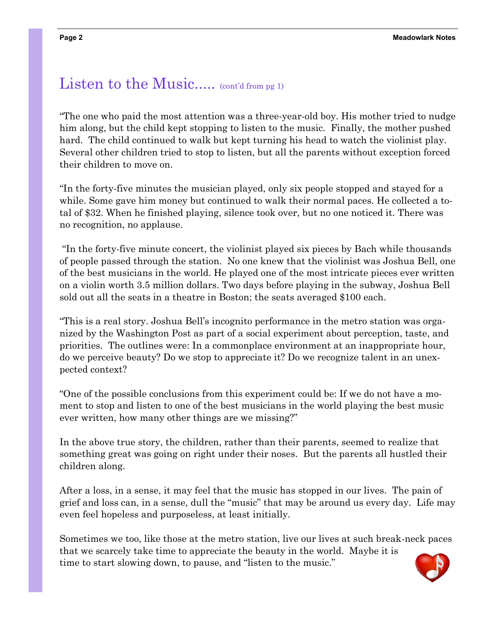### Listen to the Music.....  $(contd from pgr)$

"The one who paid the most attention was a three-year-old boy. His mother tried to nudge him along, but the child kept stopping to listen to the music. Finally, the mother pushed hard. The child continued to walk but kept turning his head to watch the violinist play. Several other children tried to stop to listen, but all the parents without exception forced their children to move on.

"In the forty-five minutes the musician played, only six people stopped and stayed for a while. Some gave him money but continued to walk their normal paces. He collected a total of \$32. When he finished playing, silence took over, but no one noticed it. There was no recognition, no applause.

"In the forty-five minute concert, the violinist played six pieces by Bach while thousands of people passed through the station. No one knew that the violinist was Joshua Bell, one of the best musicians in the world. He played one of the most intricate pieces ever written on a violin worth 3.5 million dollars. Two days before playing in the subway, Joshua Bell sold out all the seats in a theatre in Boston; the seats averaged \$100 each.

"This is a real story. Joshua Bell's incognito performance in the metro station was organized by the Washington Post as part of a social experiment about perception, taste, and priorities. The outlines were: In a commonplace environment at an inappropriate hour, do we perceive beauty? Do we stop to appreciate it? Do we recognize talent in an unexpected context?

"One of the possible conclusions from this experiment could be: If we do not have a moment to stop and listen to one of the best musicians in the world playing the best music ever written, how many other things are we missing?"

In the above true story, the children, rather than their parents, seemed to realize that something great was going on right under their noses. But the parents all hustled their children along.

After a loss, in a sense, it may feel that the music has stopped in our lives. The pain of grief and loss can, in a sense, dull the "music" that may be around us every day. Life may even feel hopeless and purposeless, at least initially.

Sometimes we too, like those at the metro station, live our lives at such break-neck paces that we scarcely take time to appreciate the beauty in the world. Maybe it is time to start slowing down, to pause, and "listen to the music."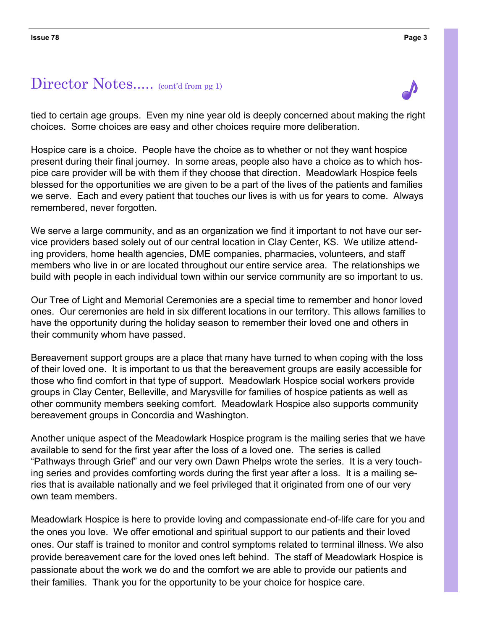### Director Notes..... (cont'd from pg 1)

tied to certain age groups. Even my nine year old is deeply concerned about making the right choices. Some choices are easy and other choices require more deliberation.

Hospice care is a choice. People have the choice as to whether or not they want hospice present during their final journey. In some areas, people also have a choice as to which hospice care provider will be with them if they choose that direction. Meadowlark Hospice feels blessed for the opportunities we are given to be a part of the lives of the patients and families we serve. Each and every patient that touches our lives is with us for years to come. Always remembered, never forgotten.

We serve a large community, and as an organization we find it important to not have our service providers based solely out of our central location in Clay Center, KS. We utilize attending providers, home health agencies, DME companies, pharmacies, volunteers, and staff members who live in or are located throughout our entire service area. The relationships we build with people in each individual town within our service community are so important to us.

Our Tree of Light and Memorial Ceremonies are a special time to remember and honor loved ones. Our ceremonies are held in six different locations in our territory. This allows families to have the opportunity during the holiday season to remember their loved one and others in their community whom have passed.

Bereavement support groups are a place that many have turned to when coping with the loss of their loved one. It is important to us that the bereavement groups are easily accessible for those who find comfort in that type of support. Meadowlark Hospice social workers provide groups in Clay Center, Belleville, and Marysville for families of hospice patients as well as other community members seeking comfort. Meadowlark Hospice also supports community bereavement groups in Concordia and Washington.

Another unique aspect of the Meadowlark Hospice program is the mailing series that we have available to send for the first year after the loss of a loved one. The series is called "Pathways through Grief" and our very own Dawn Phelps wrote the series. It is a very touching series and provides comforting words during the first year after a loss. It is a mailing series that is available nationally and we feel privileged that it originated from one of our very own team members.

Meadowlark Hospice is here to provide loving and compassionate end-of-life care for you and the ones you love. We offer emotional and spiritual support to our patients and their loved ones. Our staff is trained to monitor and control symptoms related to terminal illness. We also provide bereavement care for the loved ones left behind. The staff of Meadowlark Hospice is passionate about the work we do and the comfort we are able to provide our patients and their families. Thank you for the opportunity to be your choice for hospice care.

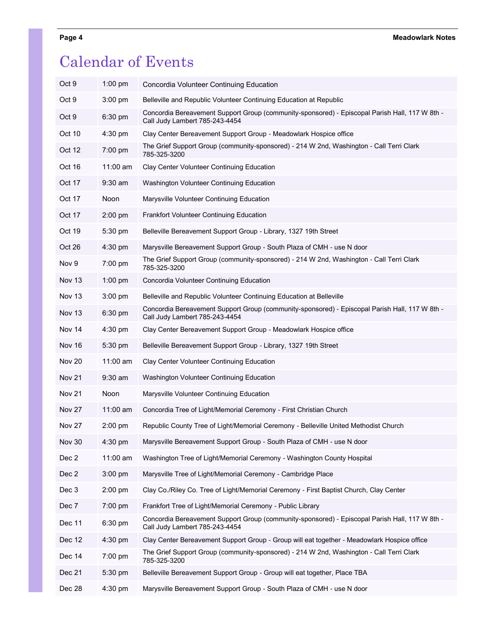### Calendar of Events

| Oct 9         | $1:00$ pm   | Concordia Volunteer Continuing Education                                                                                         |
|---------------|-------------|----------------------------------------------------------------------------------------------------------------------------------|
| Oct 9         | 3:00 pm     | Belleville and Republic Volunteer Continuing Education at Republic                                                               |
| Oct 9         | 6:30 pm     | Concordia Bereavement Support Group (community-sponsored) - Episcopal Parish Hall, 117 W 8th -<br>Call Judy Lambert 785-243-4454 |
| Oct 10        | 4:30 pm     | Clay Center Bereavement Support Group - Meadowlark Hospice office                                                                |
| Oct 12        | 7:00 pm     | The Grief Support Group (community-sponsored) - 214 W 2nd, Washington - Call Terri Clark<br>785-325-3200                         |
| Oct 16        | $11:00$ am  | Clay Center Volunteer Continuing Education                                                                                       |
| Oct 17        | $9:30$ am   | Washington Volunteer Continuing Education                                                                                        |
| Oct 17        | <b>Noon</b> | Marysville Volunteer Continuing Education                                                                                        |
| Oct 17        | 2:00 pm     | Frankfort Volunteer Continuing Education                                                                                         |
| Oct 19        | 5:30 pm     | Belleville Bereavement Support Group - Library, 1327 19th Street                                                                 |
| Oct 26        | $4:30$ pm   | Marysville Bereavement Support Group - South Plaza of CMH - use N door                                                           |
| Nov 9         | 7:00 pm     | The Grief Support Group (community-sponsored) - 214 W 2nd, Washington - Call Terri Clark<br>785-325-3200                         |
| Nov 13        | $1:00$ pm   | Concordia Volunteer Continuing Education                                                                                         |
| Nov 13        | 3:00 pm     | Belleville and Republic Volunteer Continuing Education at Belleville                                                             |
| Nov 13        | 6:30 pm     | Concordia Bereavement Support Group (community-sponsored) - Episcopal Parish Hall, 117 W 8th -<br>Call Judy Lambert 785-243-4454 |
| Nov 14        | $4:30$ pm   | Clay Center Bereavement Support Group - Meadowlark Hospice office                                                                |
| Nov 16        | 5:30 pm     | Belleville Bereavement Support Group - Library, 1327 19th Street                                                                 |
| Nov 20        | $11:00$ am  | Clay Center Volunteer Continuing Education                                                                                       |
| <b>Nov 21</b> | $9:30$ am   | Washington Volunteer Continuing Education                                                                                        |
| <b>Nov 21</b> | Noon        | Marysville Volunteer Continuing Education                                                                                        |
| <b>Nov 27</b> | 11:00 am    | Concordia Tree of Light/Memorial Ceremony - First Christian Church                                                               |
| <b>Nov 27</b> | $2:00$ pm   | Republic County Tree of Light/Memorial Ceremony - Belleville United Methodist Church                                             |
| Nov 30        | $4:30$ pm   | Marysville Bereavement Support Group - South Plaza of CMH - use N door                                                           |
| Dec 2         | 11:00 am    | Washington Tree of Light/Memorial Ceremony - Washington County Hospital                                                          |
| Dec 2         | 3:00 pm     | Marysville Tree of Light/Memorial Ceremony - Cambridge Place                                                                     |
| Dec 3         | $2:00$ pm   | Clay Co./Riley Co. Tree of Light/Memorial Ceremony - First Baptist Church, Clay Center                                           |
| Dec 7         | 7:00 pm     | Frankfort Tree of Light/Memorial Ceremony - Public Library                                                                       |
| Dec 11        | 6:30 pm     | Concordia Bereavement Support Group (community-sponsored) - Episcopal Parish Hall, 117 W 8th -<br>Call Judy Lambert 785-243-4454 |
| Dec 12        | 4:30 pm     | Clay Center Bereavement Support Group - Group will eat together - Meadowlark Hospice office                                      |
| Dec 14        | 7:00 pm     | The Grief Support Group (community-sponsored) - 214 W 2nd, Washington - Call Terri Clark<br>785-325-3200                         |
| Dec 21        | 5:30 pm     | Belleville Bereavement Support Group - Group will eat together, Place TBA                                                        |
| Dec 28        | 4:30 pm     | Marysville Bereavement Support Group - South Plaza of CMH - use N door                                                           |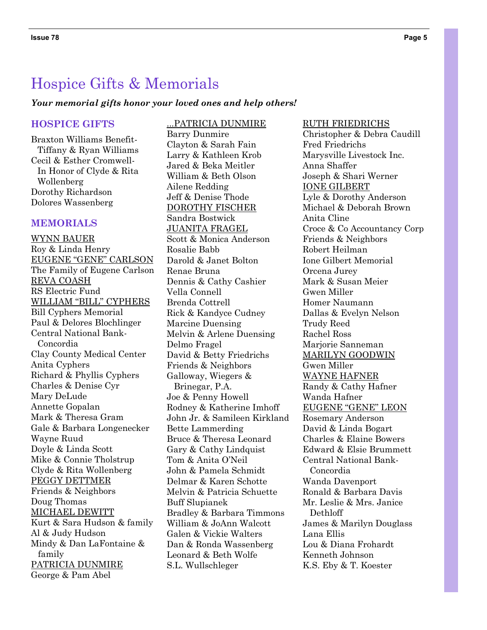### Hospice Gifts & Memorials

#### *Your memorial gifts honor your loved ones and help others!*

#### **HOSPICE GIFTS**

Braxton Williams Benefit- Tiffany & Ryan Williams Cecil & Esther Cromwell- In Honor of Clyde & Rita Wollenberg Dorothy Richardson Dolores Wassenberg

#### **MEMORIALS**

WYNN BAUER Roy & Linda Henry EUGENE "GENE" CARLSON The Family of Eugene Carlson REVA COASH RS Electric Fund WILLIAM "BILL" CYPHERS Bill Cyphers Memorial Paul & Delores Blochlinger Central National Bank- Concordia Clay County Medical Center Anita Cyphers Richard & Phyllis Cyphers Charles & Denise Cyr Mary DeLude Annette Gopalan Mark & Theresa Gram Gale & Barbara Longenecker Wayne Ruud Doyle & Linda Scott Mike & Connie Tholstrup Clyde & Rita Wollenberg PEGGY DETTMER Friends & Neighbors Doug Thomas MICHAEL DEWITT Kurt & Sara Hudson & family Al & Judy Hudson Mindy & Dan LaFontaine & family PATRICIA DUNMIRE George & Pam Abel

Barry Dunmire Clayton & Sarah Fain Larry & Kathleen Krob Jared & Beka Meitler William & Beth Olson Ailene Redding Jeff & Denise Thode DOROTHY FISCHER Sandra Bostwick JUANITA FRAGEL Scott & Monica Anderson Rosalie Babb Darold & Janet Bolton Renae Bruna Dennis & Cathy Cashier Vella Connell Brenda Cottrell Rick & Kandyce Cudney Marcine Duensing Melvin & Arlene Duensing Delmo Fragel David & Betty Friedrichs Friends & Neighbors Galloway, Wiegers & Brinegar, P.A. Joe & Penny Howell Rodney & Katherine Imhoff John Jr. & Samileen Kirkland Bette Lammerding Bruce & Theresa Leonard Gary & Cathy Lindquist Tom & Anita O'Neil John & Pamela Schmidt Delmar & Karen Schotte Melvin & Patricia Schuette Buff Slupianek Bradley & Barbara Timmons William & JoAnn Walcott Galen & Vickie Walters Dan & Ronda Wassenberg Leonard & Beth Wolfe S.L. Wullschleger

...PATRICIA DUNMIRE

Christopher & Debra Caudill Fred Friedrichs Marysville Livestock Inc. Anna Shaffer Joseph & Shari Werner IONE GILBERT Lyle & Dorothy Anderson Michael & Deborah Brown Anita Cline Croce & Co Accountancy Corp Friends & Neighbors Robert Heilman Ione Gilbert Memorial Orcena Jurey Mark & Susan Meier Gwen Miller Homer Naumann Dallas & Evelyn Nelson Trudy Reed Rachel Ross Marjorie Sanneman MARILYN GOODWIN Gwen Miller WAYNE HAFNER Randy & Cathy Hafner Wanda Hafner EUGENE "GENE" LEON Rosemary Anderson David & Linda Bogart Charles & Elaine Bowers Edward & Elsie Brummett Central National Bank- Concordia Wanda Davenport Ronald & Barbara Davis Mr. Leslie & Mrs. Janice Dethloff James & Marilyn Douglass Lana Ellis Lou & Diana Frohardt Kenneth Johnson K.S. Eby & T. Koester

RUTH FRIEDRICHS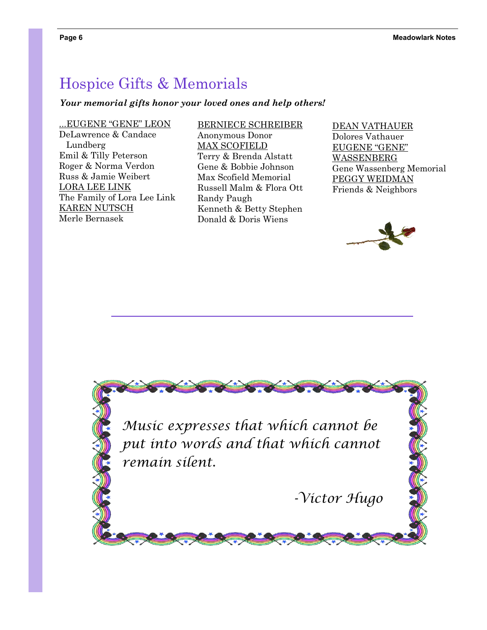### Hospice Gifts & Memorials

#### *Your memorial gifts honor your loved ones and help others!*

...EUGENE "GENE" LEON DeLawrence & Candace Lundberg Emil & Tilly Peterson Roger & Norma Verdon Russ & Jamie Weibert LORA LEE LINK The Family of Lora Lee Link KAREN NUTSCH Merle Bernasek

BERNIECE SCHREIBER Anonymous Donor MAX SCOFIELD Terry & Brenda Alstatt Gene & Bobbie Johnson Max Scofield Memorial Russell Malm & Flora Ott Randy Paugh Kenneth & Betty Stephen Donald & Doris Wiens

DEAN VATHAUER Dolores Vathauer EUGENE "GENE" WASSENBERG Gene Wassenberg Memorial PEGGY WEIDMAN Friends & Neighbors



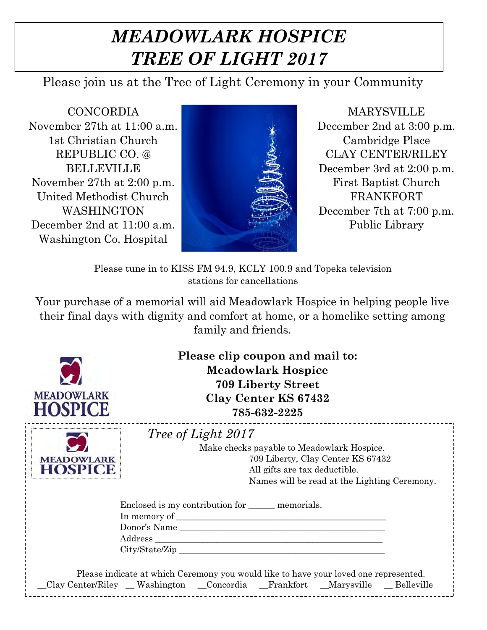## *MEADOWLARK HOSPICE TREE OF LIGHT 2017*

Please join us at the Tree of Light Ceremony in your Community

CONCORDIA November 27th at 11:00 a.m. 1st Christian Church REPUBLIC CO. @ BELLEVILLE November 27th at 2:00 p.m. United Methodist Church WASHINGTON December 2nd at 11:00 a.m. Washington Co. Hospital



MARYSVILLE December 2nd at 3:00 p.m. Cambridge Place CLAY CENTER/RILEY December 3rd at 2:00 p.m. First Baptist Church FRANKFORT December 7th at 7:00 p.m. Public Library

Please tune in to KISS FM 94.9, KCLY 100.9 and Topeka television stations for cancellations

Your purchase of a memorial will aid Meadowlark Hospice in helping people live their final days with dignity and comfort at home, or a homelike setting among family and friends.



**Please clip coupon and mail to: Meadowlark Hospice 709 Liberty Street Clay Center KS 67432 785-632-2225**

| <b>MEADOWLARK</b><br>912<br>ш.<br>t i |
|---------------------------------------|
|                                       |

|  | 20 ot Light |  |
|--|-------------|--|
|--|-------------|--|

Make checks payable to Meadowlark Hospice. 709 Liberty, Clay Center KS 67432 All gifts are tax deductible. Names will be read at the Lighting Ceremony.

|         | Enclosed is my contribution for <u>equilibration</u> memorials. |  |
|---------|-----------------------------------------------------------------|--|
|         |                                                                 |  |
|         | Donor's Name                                                    |  |
| Address |                                                                 |  |
|         | City/State/Zip                                                  |  |

| Please indicate at which Ceremony you would like to have your loved one represented. |  |  |  |  |            |
|--------------------------------------------------------------------------------------|--|--|--|--|------------|
| Clay Center/Riley _ Washington _ Concordia _ Frankfort _ Marysville                  |  |  |  |  | Belleville |